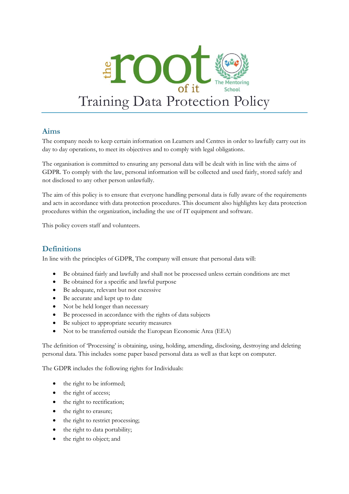

## **Aims**

The company needs to keep certain information on Learners and Centres in order to lawfully carry out its day to day operations, to meet its objectives and to comply with legal obligations.

The organisation is committed to ensuring any personal data will be dealt with in line with the aims of GDPR. To comply with the law, personal information will be collected and used fairly, stored safely and not disclosed to any other person unlawfully.

The aim of this policy is to ensure that everyone handling personal data is fully aware of the requirements and acts in accordance with data protection procedures. This document also highlights key data protection procedures within the organization, including the use of IT equipment and software.

This policy covers staff and volunteers.

# **Definitions**

In line with the principles of GDPR, The company will ensure that personal data will:

- Be obtained fairly and lawfully and shall not be processed unless certain conditions are met
- Be obtained for a specific and lawful purpose
- Be adequate, relevant but not excessive
- Be accurate and kept up to date
- Not be held longer than necessary
- Be processed in accordance with the rights of data subjects
- Be subject to appropriate security measures
- Not to be transferred outside the European Economic Area (EEA)

The definition of 'Processing' is obtaining, using, holding, amending, disclosing, destroying and deleting personal data. This includes some paper based personal data as well as that kept on computer.

The GDPR includes the following rights for Individuals:

- the right to be informed;
- the right of access;
- the right to rectification;
- the right to erasure;
- the right to restrict processing;
- the right to data portability;
- the right to object; and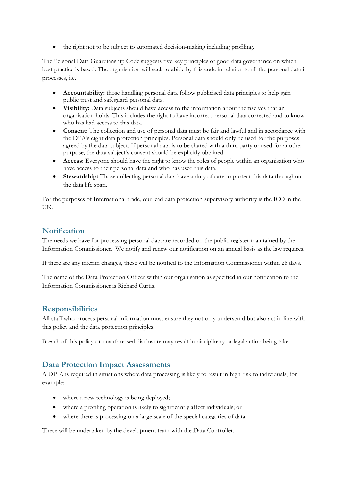the right not to be subject to automated decision-making including profiling.

The Personal Data Guardianship Code suggests five key principles of good data governance on which best practice is based. The organisation will seek to abide by this code in relation to all the personal data it processes, i.e.

- **Accountability:** those handling personal data follow publicised data principles to help gain public trust and safeguard personal data.
- **Visibility:** Data subjects should have access to the information about themselves that an organisation holds. This includes the right to have incorrect personal data corrected and to know who has had access to this data.
- **Consent:** The collection and use of personal data must be fair and lawful and in accordance with the DPA's eight data protection principles. Personal data should only be used for the purposes agreed by the data subject. If personal data is to be shared with a third party or used for another purpose, the data subject's consent should be explicitly obtained.
- **Access:** Everyone should have the right to know the roles of people within an organisation who have access to their personal data and who has used this data.
- **Stewardship:** Those collecting personal data have a duty of care to protect this data throughout the data life span.

For the purposes of International trade, our lead data protection supervisory authority is the ICO in the UK.

# **Notification**

The needs we have for processing personal data are recorded on the public register maintained by the Information Commissioner. We notify and renew our notification on an annual basis as the law requires.

If there are any interim changes, these will be notified to the Information Commissioner within 28 days.

The name of the Data Protection Officer within our organisation as specified in our notification to the Information Commissioner is Richard Curtis.

# **Responsibilities**

All staff who process personal information must ensure they not only understand but also act in line with this policy and the data protection principles.

Breach of this policy or unauthorised disclosure may result in disciplinary or legal action being taken.

### **Data Protection Impact Assessments**

A DPIA is required in situations where data processing is likely to result in high risk to individuals, for example:

- where a new technology is being deployed;
- where a profiling operation is likely to significantly affect individuals; or
- where there is processing on a large scale of the special categories of data.

These will be undertaken by the development team with the Data Controller.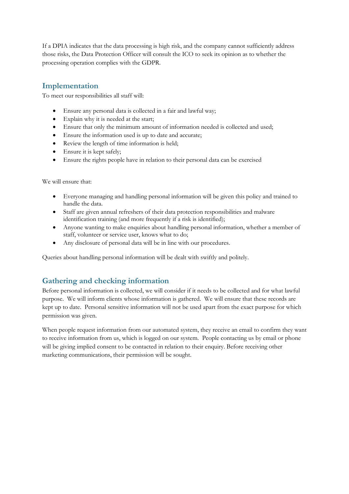If a DPIA indicates that the data processing is high risk, and the company cannot sufficiently address those risks, the Data Protection Officer will consult the ICO to seek its opinion as to whether the processing operation complies with the GDPR.

# **Implementation**

To meet our responsibilities all staff will:

- Ensure any personal data is collected in a fair and lawful way;
- Explain why it is needed at the start;
- Ensure that only the minimum amount of information needed is collected and used;
- Ensure the information used is up to date and accurate;
- Review the length of time information is held;
- Ensure it is kept safely:
- Ensure the rights people have in relation to their personal data can be exercised

We will ensure that:

- Everyone managing and handling personal information will be given this policy and trained to handle the data.
- Staff are given annual refreshers of their data protection responsibilities and malware identification training (and more frequently if a risk is identified);
- Anyone wanting to make enquiries about handling personal information, whether a member of staff, volunteer or service user, knows what to do;
- Any disclosure of personal data will be in line with our procedures.

Queries about handling personal information will be dealt with swiftly and politely.

# **Gathering and checking information**

Before personal information is collected, we will consider if it needs to be collected and for what lawful purpose. We will inform clients whose information is gathered. We will ensure that these records are kept up to date. Personal sensitive information will not be used apart from the exact purpose for which permission was given.

When people request information from our automated system, they receive an email to confirm they want to receive information from us, which is logged on our system. People contacting us by email or phone will be giving implied consent to be contacted in relation to their enquiry. Before receiving other marketing communications, their permission will be sought.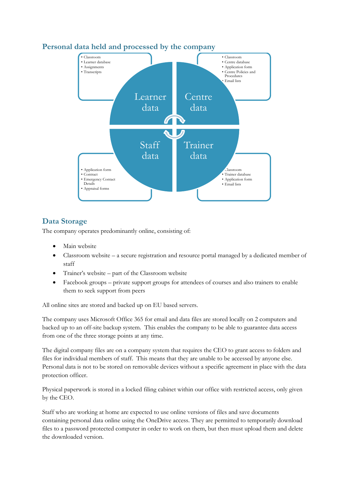

## **Personal data held and processed by the company**

# **Data Storage**

The company operates predominantly online, consisting of:

- Main website
- Classroom website a secure registration and resource portal managed by a dedicated member of staff
- Trainer's website part of the Classroom website
- Facebook groups private support groups for attendees of courses and also trainers to enable them to seek support from peers

All online sites are stored and backed up on EU based servers.

The company uses Microsoft Office 365 for email and data files are stored locally on 2 computers and backed up to an off-site backup system. This enables the company to be able to guarantee data access from one of the three storage points at any time.

The digital company files are on a company system that requires the CEO to grant access to folders and files for individual members of staff. This means that they are unable to be accessed by anyone else. Personal data is not to be stored on removable devices without a specific agreement in place with the data protection officer.

Physical paperwork is stored in a locked filing cabinet within our office with restricted access, only given by the CEO.

Staff who are working at home are expected to use online versions of files and save documents containing personal data online using the OneDrive access. They are permitted to temporarily download files to a password protected computer in order to work on them, but then must upload them and delete the downloaded version.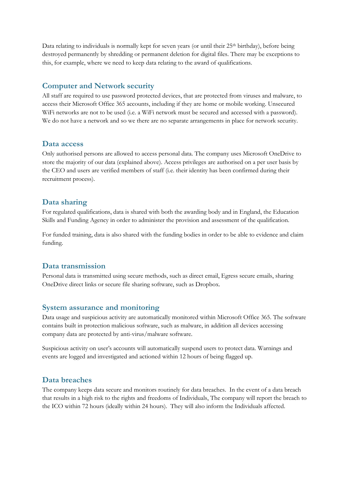Data relating to individuals is normally kept for seven years (or until their  $25<sup>th</sup>$  birthday), before being destroyed permanently by shredding or permanent deletion for digital files. There may be exceptions to this, for example, where we need to keep data relating to the award of qualifications.

## **Computer and Network security**

All staff are required to use password protected devices, that are protected from viruses and malware, to access their Microsoft Office 365 accounts, including if they are home or mobile working. Unsecured WiFi networks are not to be used (i.e. a WiFi network must be secured and accessed with a password). We do not have a network and so we there are no separate arrangements in place for network security.

#### **Data access**

Only authorised persons are allowed to access personal data. The company uses Microsoft OneDrive to store the majority of our data (explained above). Access privileges are authorised on a per user basis by the CEO and users are verified members of staff (i.e. their identity has been confirmed during their recruitment process).

### **Data sharing**

For regulated qualifications, data is shared with both the awarding body and in England, the Education Skills and Funding Agency in order to administer the provision and assessment of the qualification.

For funded training, data is also shared with the funding bodies in order to be able to evidence and claim funding.

### **Data transmission**

Personal data is transmitted using secure methods, such as direct email, Egress secure emails, sharing OneDrive direct links or secure file sharing software, such as Dropbox.

#### **System assurance and monitoring**

Data usage and suspicious activity are automatically monitored within Microsoft Office 365. The software contains built in protection malicious software, such as malware, in addition all devices accessing company data are protected by anti-virus/malware software.

Suspicious activity on user's accounts will automatically suspend users to protect data. Warnings and events are logged and investigated and actioned within 12 hours of being flagged up.

#### **Data breaches**

The company keeps data secure and monitors routinely for data breaches. In the event of a data breach that results in a high risk to the rights and freedoms of Individuals, The company will report the breach to the ICO within 72 hours (ideally within 24 hours). They will also inform the Individuals affected.